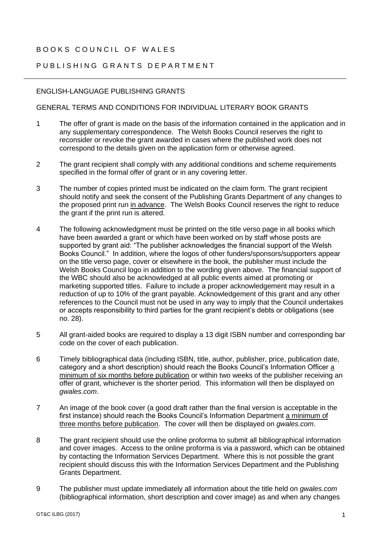## BOOKS COUNCIL OF WALFS

## PUBLISHING GRANTS DEPARTMENT

## ENGLISH-LANGUAGE PUBLISHING GRANTS

## GENERAL TERMS AND CONDITIONS FOR INDIVIDUAL LITERARY BOOK GRANTS

- 1 The offer of grant is made on the basis of the information contained in the application and in any supplementary correspondence. The Welsh Books Council reserves the right to reconsider or revoke the grant awarded in cases where the published work does not correspond to the details given on the application form or otherwise agreed.
- 2 The grant recipient shall comply with any additional conditions and scheme requirements specified in the formal offer of grant or in any covering letter.
- 3 The number of copies printed must be indicated on the claim form. The grant recipient should notify and seek the consent of the Publishing Grants Department of any changes to the proposed print run in advance. The Welsh Books Council reserves the right to reduce the grant if the print run is altered.
- 4 The following acknowledgment must be printed on the title verso page in all books which have been awarded a grant or which have been worked on by staff whose posts are supported by grant aid: "The publisher acknowledges the financial support of the Welsh Books Council." In addition, where the logos of other funders/sponsors/supporters appear on the title verso page, cover or elsewhere in the book, the publisher must include the Welsh Books Council logo in addition to the wording given above. The financial support of the WBC should also be acknowledged at all public events aimed at promoting or marketing supported titles. Failure to include a proper acknowledgement may result in a reduction of up to 10% of the grant payable. Acknowledgement of this grant and any other references to the Council must not be used in any way to imply that the Council undertakes or accepts responsibility to third parties for the grant recipient's debts or obligations (see no. 28).
- 5 All grant-aided books are required to display a 13 digit ISBN number and corresponding bar code on the cover of each publication.
- 6 Timely bibliographical data (including ISBN, title, author, publisher, price, publication date, category and a short description) should reach the Books Council's Information Officer a minimum of six months before publication or within two weeks of the publisher receiving an offer of grant, whichever is the shorter period. This information will then be displayed on *gwales.com*.
- 7 An image of the book cover (a good draft rather than the final version is acceptable in the first instance) should reach the Books Council's Information Department a minimum of three months before publication. The cover will then be displayed on *gwales.com*.
- 8 The grant recipient should use the online proforma to submit all bibliographical information and cover images. Access to the online proforma is via a password, which can be obtained by contacting the Information Services Department. Where this is not possible the grant recipient should discuss this with the Information Services Department and the Publishing Grants Department.
- 9 The publisher must update immediately all information about the title held on *gwales.com* (bibliographical information, short description and cover image) as and when any changes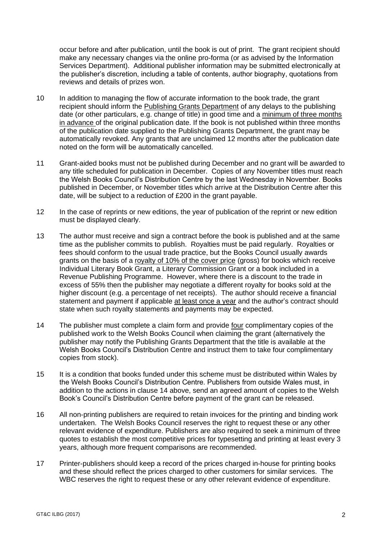occur before and after publication, until the book is out of print. The grant recipient should make any necessary changes via the online pro-forma (or as advised by the Information Services Department). Additional publisher information may be submitted electronically at the publisher's discretion, including a table of contents, author biography, quotations from reviews and details of prizes won.

- 10 In addition to managing the flow of accurate information to the book trade, the grant recipient should inform the Publishing Grants Department of any delays to the publishing date (or other particulars, e.g. change of title) in good time and a minimum of three months in advance of the original publication date. If the book is not published within three months of the publication date supplied to the Publishing Grants Department, the grant may be automatically revoked. Any grants that are unclaimed 12 months after the publication date noted on the form will be automatically cancelled.
- 11 Grant-aided books must not be published during December and no grant will be awarded to any title scheduled for publication in December. Copies of any November titles must reach the Welsh Books Council's Distribution Centre by the last Wednesday in November. Books published in December, or November titles which arrive at the Distribution Centre after this date, will be subject to a reduction of £200 in the grant payable.
- 12 In the case of reprints or new editions, the year of publication of the reprint or new edition must be displayed clearly.
- 13 The author must receive and sign a contract before the book is published and at the same time as the publisher commits to publish. Royalties must be paid regularly. Royalties or fees should conform to the usual trade practice, but the Books Council usually awards grants on the basis of a royalty of 10% of the cover price (gross) for books which receive Individual Literary Book Grant, a Literary Commission Grant or a book included in a Revenue Publishing Programme. However, where there is a discount to the trade in excess of 55% then the publisher may negotiate a different royalty for books sold at the higher discount (e.g. a percentage of net receipts). The author should receive a financial statement and payment if applicable at least once a year and the author's contract should state when such royalty statements and payments may be expected.
- 14 The publisher must complete a claim form and provide four complimentary copies of the published work to the Welsh Books Council when claiming the grant (alternatively the publisher may notify the Publishing Grants Department that the title is available at the Welsh Books Council's Distribution Centre and instruct them to take four complimentary copies from stock).
- 15 It is a condition that books funded under this scheme must be distributed within Wales by the Welsh Books Council's Distribution Centre. Publishers from outside Wales must, in addition to the actions in clause 14 above, send an agreed amount of copies to the Welsh Book's Council's Distribution Centre before payment of the grant can be released.
- 16 All non-printing publishers are required to retain invoices for the printing and binding work undertaken. The Welsh Books Council reserves the right to request these or any other relevant evidence of expenditure. Publishers are also required to seek a minimum of three quotes to establish the most competitive prices for typesetting and printing at least every 3 years, although more frequent comparisons are recommended.
- 17 Printer-publishers should keep a record of the prices charged in-house for printing books and these should reflect the prices charged to other customers for similar services. The WBC reserves the right to request these or any other relevant evidence of expenditure.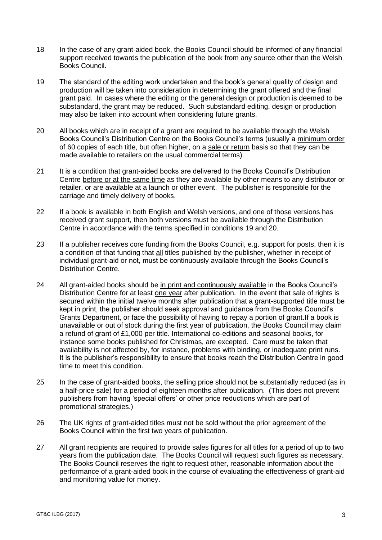- 18 In the case of any grant-aided book, the Books Council should be informed of any financial support received towards the publication of the book from any source other than the Welsh Books Council.
- 19 The standard of the editing work undertaken and the book's general quality of design and production will be taken into consideration in determining the grant offered and the final grant paid. In cases where the editing or the general design or production is deemed to be substandard, the grant may be reduced. Such substandard editing, design or production may also be taken into account when considering future grants.
- 20 All books which are in receipt of a grant are required to be available through the Welsh Books Council's Distribution Centre on the Books Council's terms (usually a minimum order of 60 copies of each title, but often higher, on a sale or return basis so that they can be made available to retailers on the usual commercial terms).
- 21 It is a condition that grant-aided books are delivered to the Books Council's Distribution Centre before or at the same time as they are available by other means to any distributor or retailer, or are available at a launch or other event. The publisher is responsible for the carriage and timely delivery of books.
- 22 If a book is available in both English and Welsh versions, and one of those versions has received grant support, then both versions must be available through the Distribution Centre in accordance with the terms specified in conditions 19 and 20.
- 23 If a publisher receives core funding from the Books Council, e.g. support for posts, then it is a condition of that funding that all titles published by the publisher, whether in receipt of individual grant-aid or not, must be continuously available through the Books Council's Distribution Centre.
- 24 All grant-aided books should be in print and continuously available in the Books Council's Distribution Centre for at least one year after publication. In the event that sale of rights is secured within the initial twelve months after publication that a grant-supported title must be kept in print, the publisher should seek approval and guidance from the Books Council's Grants Department, or face the possibility of having to repay a portion of grant.If a book is unavailable or out of stock during the first year of publication, the Books Council may claim a refund of grant of £1,000 per title. International co-editions and seasonal books, for instance some books published for Christmas, are excepted. Care must be taken that availability is not affected by, for instance, problems with binding, or inadequate print runs. It is the publisher's responsibility to ensure that books reach the Distribution Centre in good time to meet this condition.
- 25 In the case of grant-aided books, the selling price should not be substantially reduced (as in a half-price sale) for a period of eighteen months after publication. (This does not prevent publishers from having 'special offers' or other price reductions which are part of promotional strategies.)
- 26 The UK rights of grant-aided titles must not be sold without the prior agreement of the Books Council within the first two years of publication.
- 27 All grant recipients are required to provide sales figures for all titles for a period of up to two years from the publication date. The Books Council will request such figures as necessary. The Books Council reserves the right to request other, reasonable information about the performance of a grant-aided book in the course of evaluating the effectiveness of grant-aid and monitoring value for money.